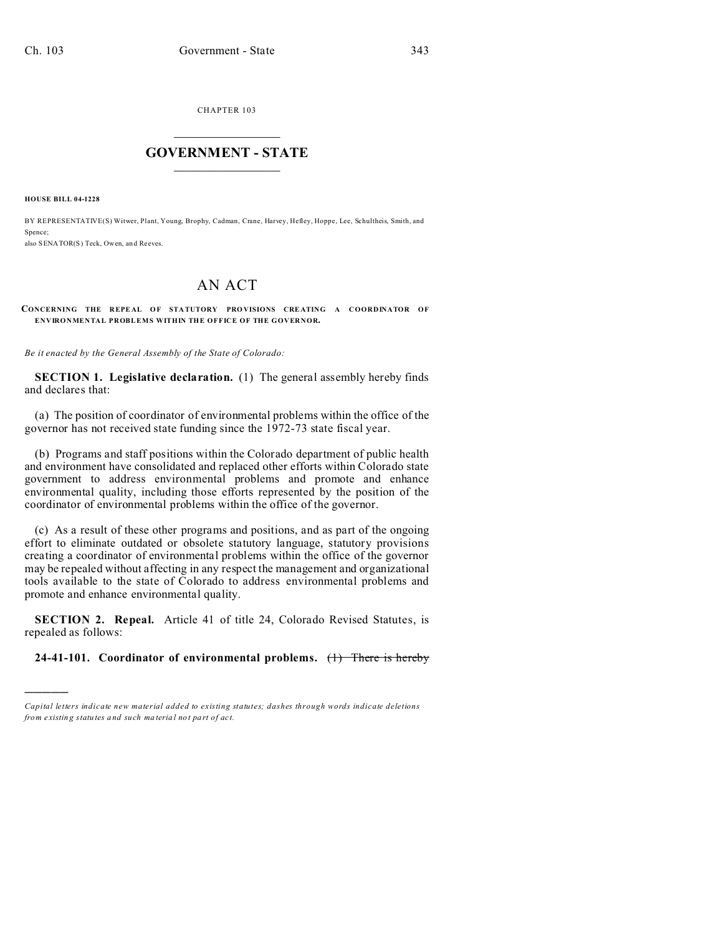CHAPTER 103  $\overline{\phantom{a}}$  , where  $\overline{\phantom{a}}$ 

## **GOVERNMENT - STATE**  $\_$   $\_$

**HOUSE BILL 04-1228**

)))))

BY REPRESENTATIVE(S) Witwer, Plant, Young, Brophy, Cadman, Crane, Harvey, Hefley, Hoppe, Lee, Schultheis, Smith, and Spence:

also SENATOR(S) Teck, Owen, an d Reeves.

## AN ACT

**CONCERNING THE REPEAL OF STATUTORY PROVISIONS CREATING A COORDINATOR OF ENVIRONMENTAL PROBLEMS WITHIN THE OFFICE OF THE GOVERNOR.**

*Be it enacted by the General Assembly of the State of Colorado:*

**SECTION 1. Legislative declaration.** (1) The general assembly hereby finds and declares that:

(a) The position of coordinator of environmental problems within the office of the governor has not received state funding since the 1972-73 state fiscal year.

(b) Programs and staff positions within the Colorado department of public health and environment have consolidated and replaced other efforts within Colorado state government to address environmental problems and promote and enhance environmental quality, including those efforts represented by the position of the coordinator of environmental problems within the office of the governor.

(c) As a result of these other programs and positions, and as part of the ongoing effort to eliminate outdated or obsolete statutory language, statutory provisions creating a coordinator of environmental problems within the office of the governor may be repealed without affecting in any respect the management and organizational tools available to the state of Colorado to address environmental problems and promote and enhance environmental quality.

**SECTION 2. Repeal.** Article 41 of title 24, Colorado Revised Statutes, is repealed as follows:

## **24-41-101. Coordinator of environmental problems.** (1) There is hereby

*Capital letters indicate new material added to existing statutes; dashes through words indicate deletions from e xistin g statu tes a nd such ma teria l no t pa rt of ac t.*